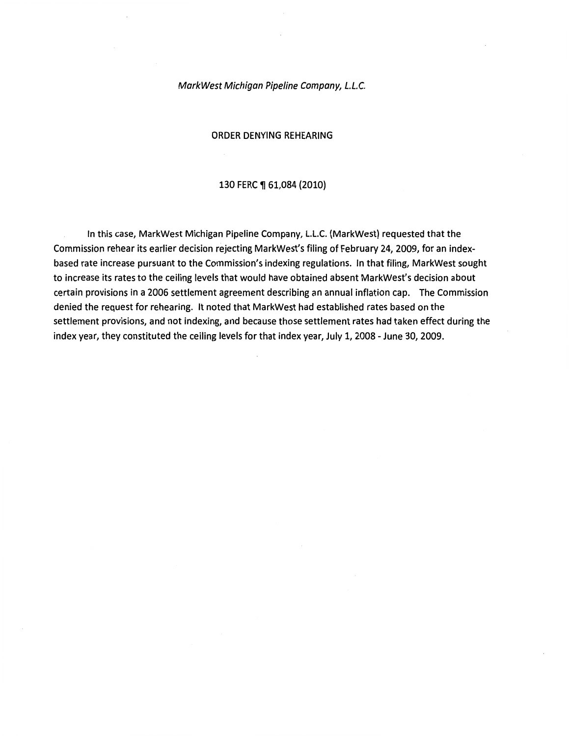#### MarkWest Michigan Pipeline Company, L.L.C.

#### ORDER DENYING REHEARING

#### 130 FERC ¶ 61,084 (2010)

In this case, MarkWest Michigan Pipeline Company, L.L.C. {MarkWest) requested that the Commission rehear its earlier decision rejecting MarkWest's filing of February 24, 2009, for an indexbased rate increase pursuant to the Commission's indexing regulations. In that filing, MarkWest sought to increase its rates to the ceiling levels that would have obtained absent MarkWest's decision about certain provisions in a 2006 settlement agreement describing an annual inflation cap. The Commission denied the request for rehearing. It noted that MarkWest had established rates based on the settlement provisions, and not indexing, and because those settlement rates had taken effect during the index year, they constituted the ceiling levels for that index year, July 1, 2008- June 30, 2009.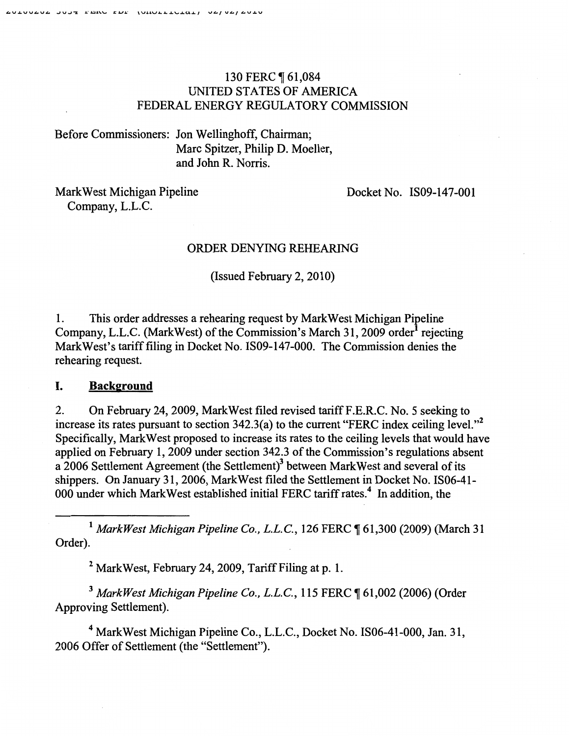# 130 FERC 161,084 UNITED STATES OF AMERICA FEDERAL ENERGY REGULATORY COMMISSION

Before Commissioners: Jon Wellinghoff, Chairman; Marc Spitzer, Philip D. Moeller, and John R. Norris.

Mark West Michigan Pipeline Company, L.L.C.

Docket No. IS09-147-001

### ORDER DENYING REHEARING

(Issued February 2, 2010)

1. This order addresses a rehearing request by MarkWest Michigan Pipeline Company, L.L.C. (MarkWest) of the Commission's March 31, 2009 order<sup>1</sup> rejecting Mark West's tariff filing in Docket No. IS09-147-000. The Commission denies the rehearing request.

## I. **Background**

2. On February 24, 2009, Mark West filed revised tariff F.E.R.C. No. 5 seeking to increase its rates pursuant to section  $342.3(a)$  to the current "FERC index ceiling level."<sup>2</sup> Specifically, Mark West proposed to increase its rates to the ceiling levels that would have applied on February 1, 2009 under section 342.3 of the Commission's regulations absent a 2006 Settlement Agreement (the Settlement)3 between Mark West and several of its shippers. On January 31, 2006, Mark West filed the Settlement in Docket No. IS06-41- 000 under which Mark West established initial FERC tariff rates.<sup>4</sup> In addition, the

<sup>1</sup> MarkWest Michigan Pipeline Co., L.L.C., 126 FERC ¶ 61,300 (2009) (March 31 Order).

<sup>2</sup> Mark West, February 24, 2009, Tariff Filing at p. 1.

<sup>3</sup> MarkWest Michigan Pipeline Co., L.L.C., 115 FERC ¶ 61,002 (2006) (Order Approving Settlement).

4 Mark West Michigan Pipeline Co., L.L.C., Docket No. IS06-41-000, Jan. 31, 2006 Offer of Settlement (the "Settlement").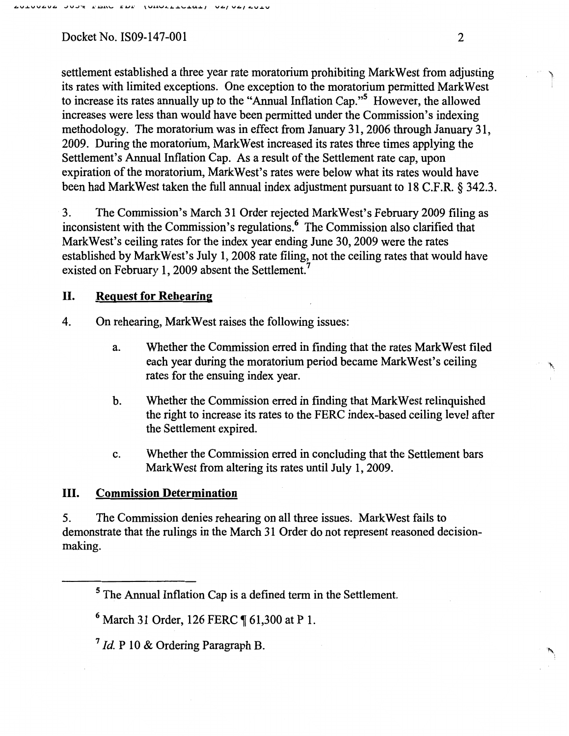settlement established a three year rate moratorium prohibiting Mark West from adjusting l its rates with limited exceptions. One exception to the moratorium permitted MarkWest to increase its rates annually up to the "Annual Inflation Cap."5 However, the allowed increases were less than would have been permitted under the Commission's indexing methodology. The moratorium was in effect from January 31,2006 through January 31, 2009. During the moratorium, Mark West increased its rates three times applying the Settlement's Annual Inflation Cap. As a result of the Settlement rate cap, upon expiration of the moratorium, MarkWest's rates were below what its rates would have been had MarkWest taken the full annual index adjustment pursuant to 18 C.F.R. § 342.3.

3. The Commission's March 31 Order rejected Mark West's February 2009 filing as inconsistent with the Commission's regulations. 6 The Commission also clarified that Mark West's ceiling rates for the index year ending June 30,2009 were the rates established by Mark West's July 1, 2008 rate filing, not the ceiling rates that would have existed on February 1, 2009 absent the Settlement.<sup>7</sup>

## II. Reguest for Rehearing

4. On rehearing, Mark West raises the following issues:

- a. Whether the Commission erred in finding that the rates Mark West filed each year during the moratorium period became Mark West's ceiling rates for the ensuing index year.
- b. Whether the Commission erred in finding that Mark West relinquished the right to increase its rates to the FERC index-based ceiling level after the Settlement expired.
- c. Whether the Commission erred in concluding that the Settlement bars MarkWest from altering its rates until July 1, 2009.

## III. Commission Determination

5. The Commission denies rehearing on all three issues. Mark West fails to demonstrate that the rulings in the March 31 Order do not represent reasoned decisionmaking.

<sup>5</sup> The Annual Inflation Cap is a defmed term in the Settlement.

 $6$  March 31 Order, 126 FERC  $\P$  61,300 at P 1.

<sup>7</sup> *Id* P 10 & Ordering Paragraph B.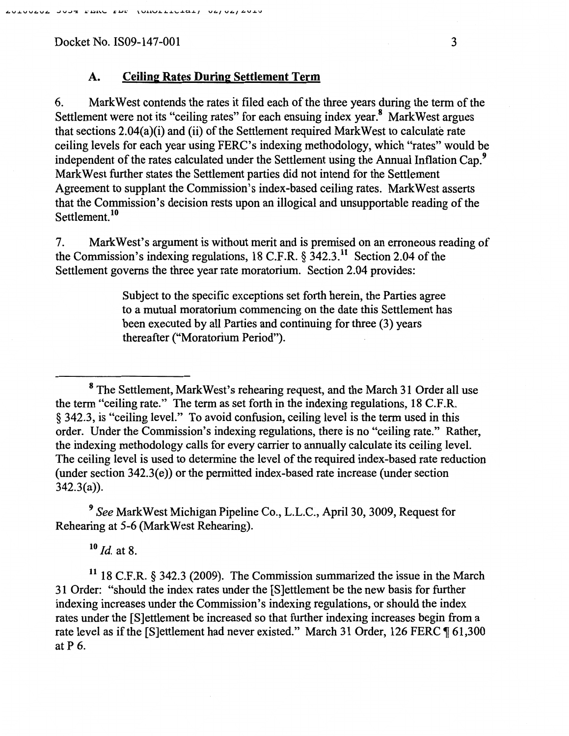### A. Ceiling Rates During Settlement Term

6. MarkWest contends the rates it filed each of the three years during the term of the Settlement were not its "ceiling rates" for each ensuing index year.<sup>8</sup> Mark West argues that sections 2.04(a)(i) and (ii) of the Settlement required MarkWest to calculate rate ceiling levels for each year using FERC's indexing methodology, which "rates" would be independent of the rates calculated under the Settlement using the Annual Inflation Cap.<sup>9</sup> Mark West further states the Settlement parties did not intend for the Settlement Agreement to supplant the Commission's index-based ceiling rates. MarkWest asserts that the Commission's decision rests upon an illogical and unsupportable reading of the Settlement.<sup>10</sup>

7. MarkWest's argument is without merit and is premised on an erroneous reading of the Commission's indexing regulations, 18 C.F.R.  $\S$  342.3.<sup>11</sup> Section 2.04 of the Settlement governs the three year rate moratorium. Section 2.04 provides:

> Subject to the specific exceptions set forth herein, the Parties agree to a mutual moratorium commencing on the date this Settlement has been executed by all Parties and continuing for three (3) years thereafter ("Moratorium Period").

<sup>9</sup>*See* MarkWest Michigan Pipeline Co., L.L.C., April30, 3009, Request for Rehearing at 5-6 (Mark West Rehearing).

<sup>10</sup>*ld* at 8.

11 18 C.F.R. § 342.3 (2009). The Commission summarized the issue in the March 31 Order: "should the index rates under the [S]ettlement be the new basis for further indexing increases under the Commission's indexing regulations, or should the index rates under the [S]ettlement be increased so that further indexing increases begin from a rate level as if the [S]ettlement had never existed." March 31 Order, 126 FERC  $\P$  61,300 atP 6.

<sup>8</sup> The Settlement, Mark West's rehearing request, and the March 31 Order all use the term "ceiling rate." The term as set forth in the indexing regulations, 18 C.F.R. § 342.3, is "ceiling level." To avoid confusion, ceiling level is the term used in this order. Under the Commission's indexing regulations, there is no "ceiling rate." Rather, the indexing methodology calls for every carrier to annually calculate its ceiling level. The ceiling level is used to determine the level of the required index-based rate reduction (under section 342.3(e)) or the permitted index-based rate increase (under section 342.3(a)).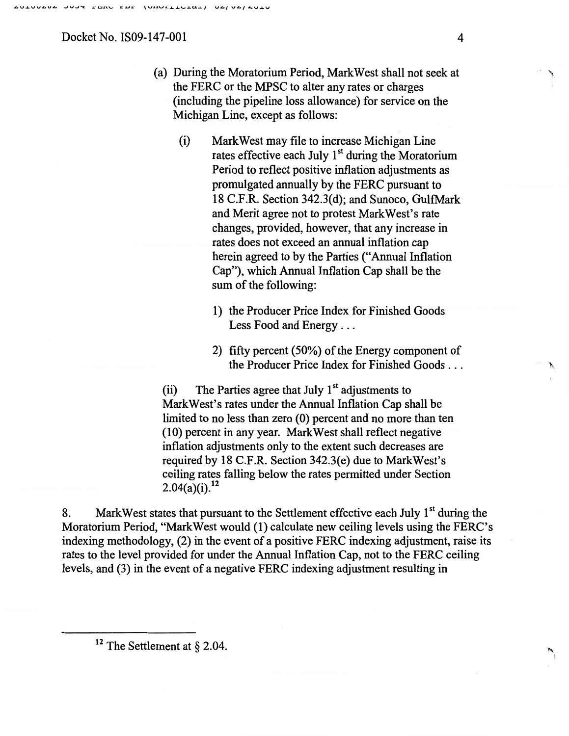- (a) During the Moratorium Period, Mark West shall not seek at the FERC or the MPSC to alter any rates or charges (including the pipeline loss allowance) for service on the Michigan Line, except as follows:
	- (i) Mark West may file to increase Michigan Line rates effective each July  $1<sup>st</sup>$  during the Moratorium Period to reflect positive inflation adjustments as promulgated annually by the FERC pursuant to 18 C.F.R. Section 342.3(d); and Sunoco, GulfMark and Merit agree not to protest Mark West's rate changes, provided, however, that any increase in rates does not exceed an annual inflation cap herein agreed to by the Parties ("Annual Inflation Cap"), which Annual Inflation Cap shall be the sum of the following:
		- 1) the Producer Price Index for Finished Goods Less Food and Energy ...
		- 2) fifty percent (50%) of the Energy component of the Producer Price Index for Finished Goods ...

(ii) The Parties agree that July  $1<sup>st</sup>$  adjustments to Mark West's rates under the Annual Inflation Cap shall be limited to no less than zero (0) percent and no more than ten (10) percent in any year. MarkWest shall reflect negative inflation adjustments only to the extent such decreases are required by 18 C.F.R. Section 342.3(e) due to MarkWest's ceiling rates falling below the rates permitted under Section  $2.04(a)(i).<sup>12</sup>$ 

8. Mark West states that pursuant to the Settlement effective each July  $1<sup>st</sup>$  during the Moratorium Period, "MarkWest would (1) calculate new ceiling levels using the FERC's indexing methodology, (2) in the event of a positive FERC indexing adjustment, raise its rates to the level provided for under the Annual Inflation Cap, not to the FERC ceiling levels, and (3) in the event of a negative FERC indexing adjustment resulting in

 $12$  The Settlement at § 2.04.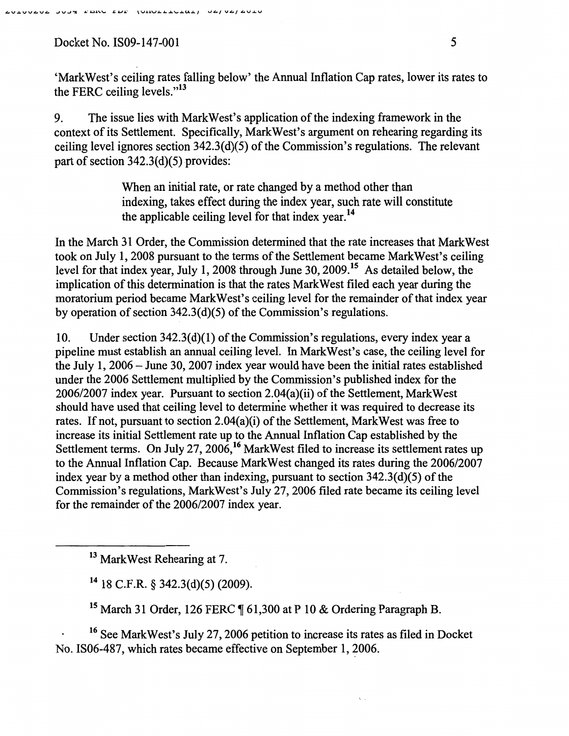9. The issue lies with MarkWest's application of the indexing framework in the context of its Settlement. Specifically, MarkWest's argument on rehearing regarding its ceiling level ignores section 342.3(d)(5) of the Commission's regulations. The relevant part of section 342.3(d)(5) provides:

> When an initial rate, or rate changed by a method other than indexing, takes effect during the index year, such rate will constitute the applicable ceiling level for that index year.<sup>14</sup>

In the March 31 Order, the Commission determined that the rate increases that Mark West took on July 1, 2008 pursuant to the terms of the Settlement became MarkWest's ceiling level for that index year, July 1, 2008 through June 30,2009.15 As detailed below, the implication of this determination is that the rates MarkWest filed each year during the moratorium period became Mark West's ceiling level for the remainder of that index year by operation of section 342.3(d)(5) of the Commission's regulations.

10. Under section 342.3(d)(1) of the Commission's regulations, every index year a pipeline must establish an annual ceiling level. In Mark West's case, the ceiling level for the July 1, 2006- June 30, 2007 index year would have been the initial rates established under the 2006 Settlement multiplied by the Commission's published index for the 2006/2007 index year. Pursuant to section 2.04(a)(ii) of the Settlement, MarkWest should have used that ceiling level to determine whether it was required to decrease its rates. If not, pursuant to section 2.04(a)(i) of the Settlement, Mark West was free to increase its initial Settlement rate up to the Annual Inflation Cap established by the Settlement terms. On July 27, 2006,<sup>16</sup> MarkWest filed to increase its settlement rates up to the Annual Inflation Cap. Because MarkWest changed its rates during the 2006/2007 index year by a method other than indexing, pursuant to section 342.3(d)(5) of the Commission's regulations, Mark West's July 27, 2006 filed rate became its ceiling level for the remainder of the 2006/2007 index year.

13 Mark West Rehearing at 7.

 $14$  18 C.F.R. § 342.3(d)(5) (2009).

<sup>15</sup> March 31 Order, 126 FERC  $\P$  61,300 at P 10 & Ordering Paragraph B.

16 See MarkWest's July 27, 2006 petition to increase its rates as filed in Docket No. IS06-487, which rates became effective on September 1, 2006.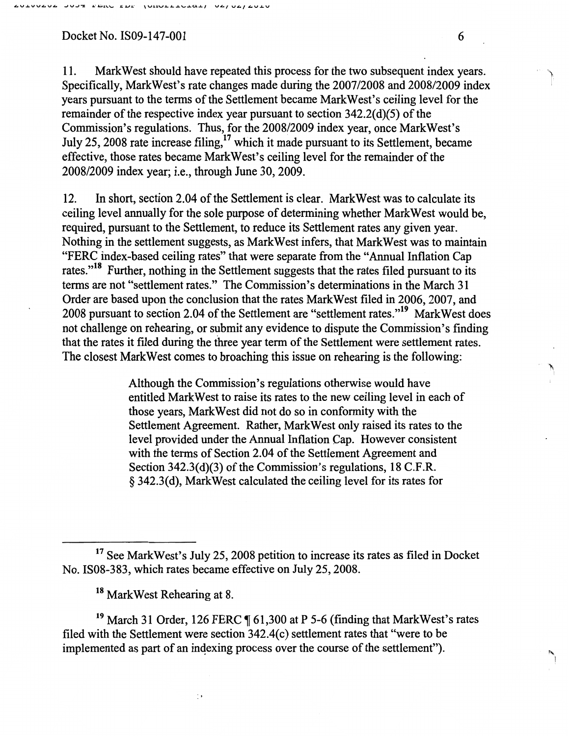11. MarkWest should have repeated this process for the two subsequent index years. Specifically, MarkWest's rate changes made during the 2007/2008 and 2008/2009 index years pursuant to the terms of the Settlement became MarkWest's ceiling level for the remainder of the respective index year pursuant to section 342.2(d)(5) of the Commission's regulations. Thus, for the 2008/2009 index year, once Mark West's July 25, 2008 rate increase filing,<sup>17</sup> which it made pursuant to its Settlement, became effective, those rates became MarkWest's ceiling level for the remainder of the 2008/2009 index year; i.e., through June 30, 2009.

12. In short, section 2.04 of the Settlement is clear. MarkWest was to calculate its ceiling level annually for the sole purpose of determining whether Mark West would be, required, pursuant to the Settlement, to reduce its Settlement rates any given year. Nothing in the settlement suggests, as MarkWest infers, that Mark West was to maintain "FERC index-based ceiling rates" that were separate from the "Annual Inflation Cap rates."<sup>18</sup> Further, nothing in the Settlement suggests that the rates filed pursuant to its terms are not "settlement rates." The Commission's determinations in the March 31 Order are based upon the conclusion that the rates MarkWest filed in 2006,2007, and 2008 pursuant to section 2.04 of the Settlement are "settlement rates."19 MarkWest does not challenge on rehearing, or submit any evidence to dispute the Commission's finding that the rates it filed during the three year term of the Settlement were settlement rates. The closest MarkWest comes to broaching this issue on rehearing is the following:

> Although the Commission's regulations otherwise would have entitled Mark West to raise its rates to the new ceiling level in each of those years, MarkWest did not do so in conformity with the Settlement Agreement. Rather, MarkWest only raised its rates to the level provided under the Annual Inflation Cap. However consistent with the terms of Section 2.04 of the Settlement Agreement and Section 342.3(d)(3) of the Commission's regulations, 18 C.F.R. § 342.3(d), MarkWest calculated the ceiling level for its rates for

18 MarkWest Rehearing at 8.

 $\cdot$  :

<sup>19</sup> March 31 Order, 126 FERC  $\P$  61,300 at P 5-6 (finding that MarkWest's rates filed with the Settlement were section 342.4(c) settlement rates that "were to be implemented as part of an indexing process over the course of the settlement").

'" I

<sup>&</sup>lt;sup>17</sup> See Mark West's July 25, 2008 petition to increase its rates as filed in Docket No. IS08-383, which rates became effective on July 25, 2008.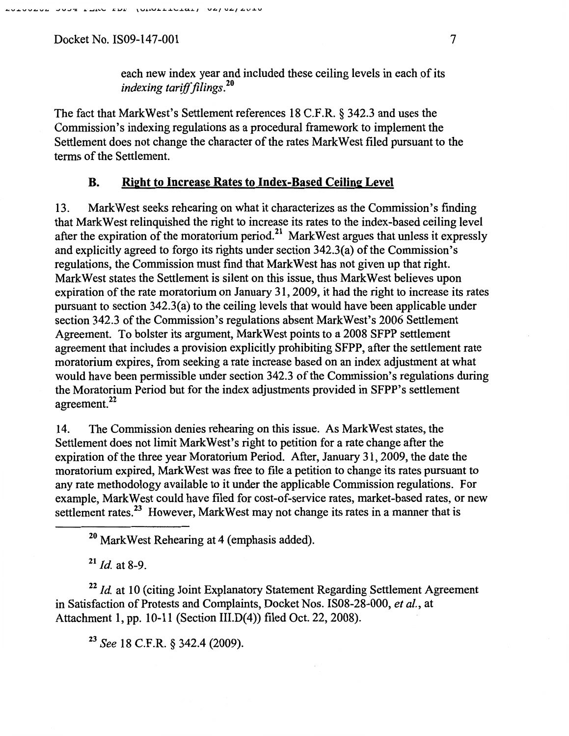each new index year and included these ceiling levels in each of its *indexing tariff filings.* <sup>20</sup>

The fact that Mark West's Settlement references 18 C.F.R. § 342.3 and uses the Commission's indexing regulations as a procedural framework to implement the Settlement does not change the character of the rates MarkWest filed pursuant to the terms of the Settlement.

## B. Right to Increase Rates to Index-Based Ceiling Level

13. MarkWest seeks rehearing on what it characterizes as the Commission's finding that Mark West relinquished the right to increase its rates to the index-based ceiling level after the expiration of the moratorium period.<sup>21</sup> MarkWest argues that unless it expressly and explicitly agreed to forgo its rights under section 342.3(a) of the Commission's regulations, the Commission must find that Mark West has not given up that right. MarkWest states the Settlement is silent on this issue, thus MarkWest believes upon expiration of the rate moratorium on January 31,2009, it had the right to increase its rates pursuant to section 342.3(a) to the ceiling levels that would have been applicable under section 342.3 of the Commission's regulations absent Mark West's 2006 Settlement Agreement. To bolster its argument, Mark West points to a 2008 SFPP settlement agreement that includes a provision explicitly prohibiting SFPP, after the settlement rate moratorium expires, from seeking a rate increase based on an index adjustment at what would have been permissible under section 342.3 of the Commission's regulations during the Moratorium Period but for the index adjustments provided in SFPP's settlement agreement. 22

14. The Commission denies rehearing on this issue. As MarkWest states, the Settlement does not limit Mark West's right to petition for a rate change after the expiration of the three year Moratorium Period. After, January 31, 2009, the date the moratorium expired, Mark West was free to file a petition to change its rates pursuant to any rate methodology available to it under the applicable Commission regulations. For example, Mark West could have filed for cost-of-service rates, market-based rates, or new settlement rates.<sup>23</sup> However, Mark West may not change its rates in a manner that is

<sup>20</sup> Mark West Rehearing at 4 (emphasis added).

<sup>21</sup>*Id.* at 8-9.

<sup>22</sup> Id. at 10 (citing Joint Explanatory Statement Regarding Settlement Agreement in Satisfaction of Protests and Complaints, Docket Nos. IS08-28-000, *eta/.,* at Attachment 1, pp. 10-11 (Section III.D(4)) filed Oct. 22, 2008).

23 *See* 18 C.F .R. § 342.4 (2009).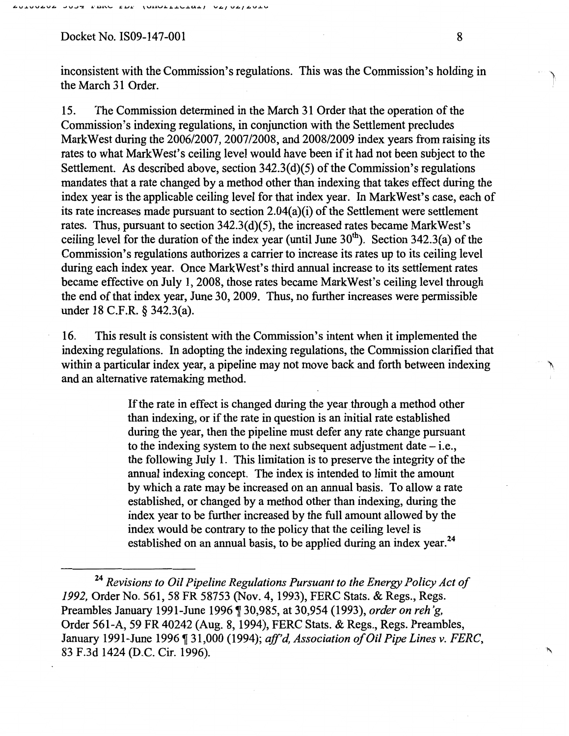inconsistent with the Commission's regulations. This was the Commission's holding in the March 31 Order.

15. The Commission determined in the March 31 Order that the operation of the Commission's indexing regulations, in conjunction with the Settlement precludes MarkWest during the 2006/2007, 2007/2008, and 2008/2009 index years from raising its rates to what MarkWest's ceiling level would have been if it had not been subject to the Settlement. As described above, section 342.3(d)(5) of the Commission's regulations mandates that a rate changed by a method other than indexing that takes effect during the index year is the applicable ceiling level for that index year. In Mark West's case, each of its rate increases made pursuant to section 2.04(a)(i) of the Settlement were settlement rates. Thus, pursuant to section 342.3(d)(5), the increased rates became MarkWest's ceiling level for the duration of the index year (until June  $30<sup>th</sup>$ ). Section 342.3(a) of the Commission's regulations authorizes a carrier to increase its rates up to its ceiling level during each index year. Once Mark West's third annual increase to its settlement rates became effective on July 1, 2008, those rates became MarkWest's ceiling level through the end of that index year, June 30,2009. Thus, no further increases were permissible under 18 C.F.R. § 342.3(a).

16. This result is consistent with the Commission's intent when it implemented the indexing regulations. In adopting the indexing regulations, the Commission clarified that within a particular index year, a pipeline may not move back and forth between indexing and an alternative ratemaking method.

> If the rate in effect is changed during the year through a method other than indexing, or if the rate in question is an initial rate established during the year, then the pipeline must defer any rate change pursuant to the indexing system to the next subsequent adjustment date  $-$  i.e., the following July 1. This limitation is to preserve the integrity of the annual indexing concept. The index is intended to limit the amount by which a rate may be increased on an annual basis. To allow a rate established, or changed by a method other than indexing, during the index year to be further increased by the full amount allowed by the index would be contrary to the policy that the ceiling level is established on an annual basis, to be applied during an index year.<sup>24</sup>

下

<sup>24</sup>*Revisions to Oil Pipeline Regulations Pursuant to the Energy Policy Act of 1992,* Order No. 561,58 FR 58753 (Nov. 4, 1993), FERC Stats. & Regs., Regs. Preambles January 1991-June 1996 ~ 30,985, at 30,954 (1993), *order on reh 'g,*  Order 561-A, 59 FR 40242 (Aug. 8, 1994), FERC Stats. & Regs., Regs. Preambles, January 1991-June 1996 ¶ 31,000 (1994); *aff'd, Association of Oil Pipe Lines v. FERC*, 83 F.3d 1424 (D.C. Cir. 1996).